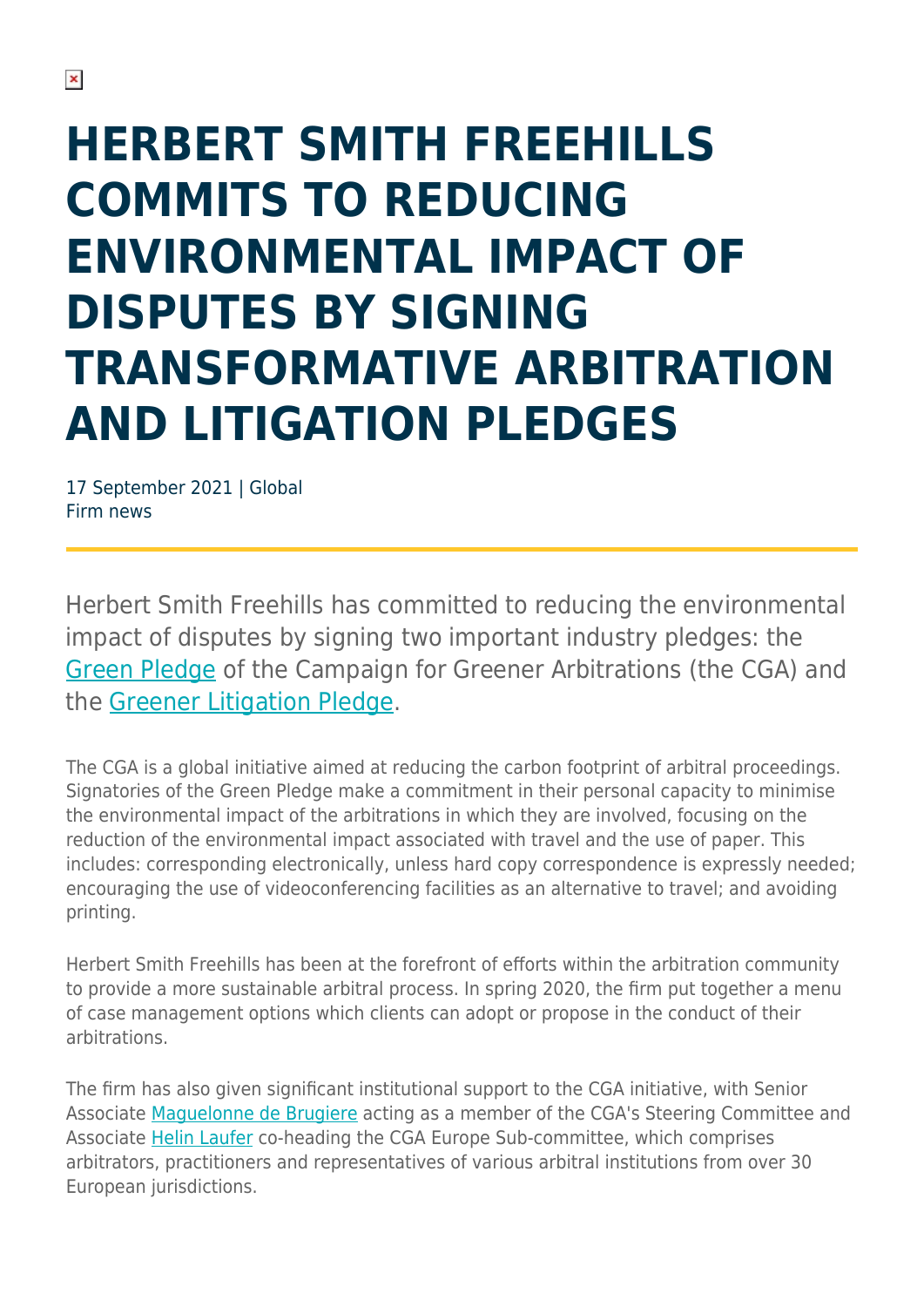# **HERBERT SMITH FREEHILLS COMMITS TO REDUCING ENVIRONMENTAL IMPACT OF DISPUTES BY SIGNING TRANSFORMATIVE ARBITRATION AND LITIGATION PLEDGES**

17 September 2021 | Global Firm news

Herbert Smith Freehills has committed to reducing the environmental impact of disputes by signing two important industry pledges: the [Green Pledge](https://www.greenerarbitrations.com/) of the Campaign for Greener Arbitrations (the CGA) and the [Greener Litigation Pledge.](https://greenerlitigation.org/the-pledge/)

The CGA is a global initiative aimed at reducing the carbon footprint of arbitral proceedings. Signatories of the Green Pledge make a commitment in their personal capacity to minimise the environmental impact of the arbitrations in which they are involved, focusing on the reduction of the environmental impact associated with travel and the use of paper. This includes: corresponding electronically, unless hard copy correspondence is expressly needed; encouraging the use of videoconferencing facilities as an alternative to travel; and avoiding printing.

Herbert Smith Freehills has been at the forefront of efforts within the arbitration community to provide a more sustainable arbitral process. In spring 2020, the firm put together a menu of case management options which clients can adopt or propose in the conduct of their arbitrations.

The firm has also given significant institutional support to the CGA initiative, with Senior Associate [Maguelonne de Brugiere](https://www.herbertsmithfreehills.com/our-people/maguelonne-de-brugiere) acting as a member of the CGA's Steering Committee and Associate [Helin Laufer](https://www.herbertsmithfreehills.com/our-people/helin-laufer) co-heading the CGA Europe Sub-committee, which comprises arbitrators, practitioners and representatives of various arbitral institutions from over 30 European jurisdictions.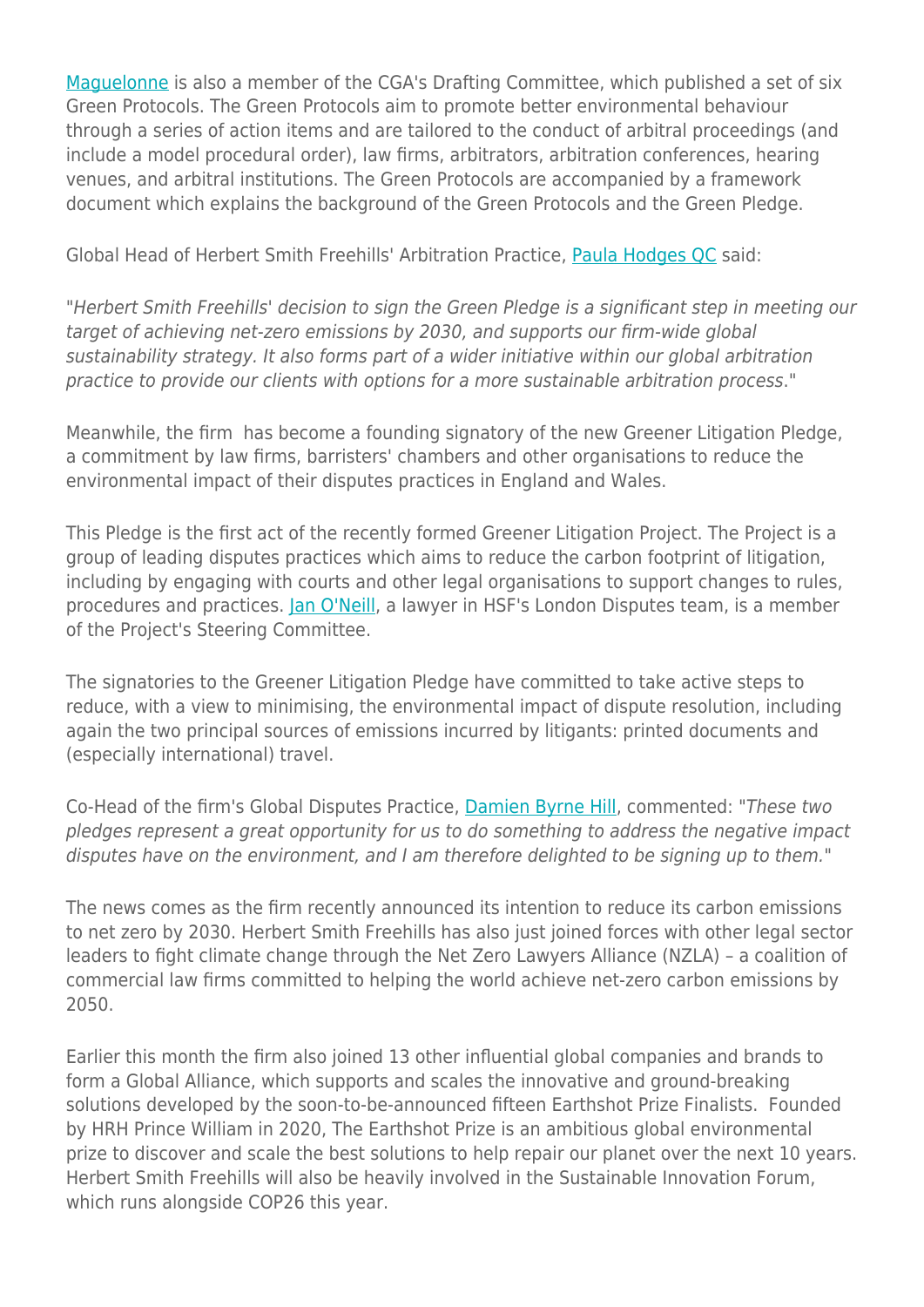[Maguelonne](https://www.herbertsmithfreehills.com/our-people/maguelonne-de-brugiere) is also a member of the CGA's Drafting Committee, which published a set of six Green Protocols. The Green Protocols aim to promote better environmental behaviour through a series of action items and are tailored to the conduct of arbitral proceedings (and include a model procedural order), law firms, arbitrators, arbitration conferences, hearing venues, and arbitral institutions. The Green Protocols are accompanied by a framework document which explains the background of the Green Protocols and the Green Pledge.

Global Head of Herbert Smith Freehills' Arbitration Practice, [Paula Hodges QC](https://www.herbertsmithfreehills.com/our-people/paula-hodges-qc) said:

"Herbert Smith Freehills' decision to sign the Green Pledge is a significant step in meeting our target of achieving net-zero emissions by 2030, and supports our firm-wide global sustainability strategy. It also forms part of a wider initiative within our global arbitration practice to provide our clients with options for a more sustainable arbitration process."

Meanwhile, the firm has become a founding signatory of the new Greener Litigation Pledge, a commitment by law firms, barristers' chambers and other organisations to reduce the environmental impact of their disputes practices in England and Wales.

This Pledge is the first act of the recently formed Greener Litigation Project. The Project is a group of leading disputes practices which aims to reduce the carbon footprint of litigation, including by engaging with courts and other legal organisations to support changes to rules, procedures and practices. [Jan O'Neill,](https://www.herbertsmithfreehills.com/node/13986) a lawyer in HSF's London Disputes team, is a member of the Project's Steering Committee.

The signatories to the Greener Litigation Pledge have committed to take active steps to reduce, with a view to minimising, the environmental impact of dispute resolution, including again the two principal sources of emissions incurred by litigants: printed documents and (especially international) travel.

Co-Head of the firm's Global Disputes Practice, [Damien Byrne Hill](https://www.herbertsmithfreehills.com/our-people/damien-byrne-hill), commented: "These two pledges represent a great opportunity for us to do something to address the negative impact disputes have on the environment, and I am therefore delighted to be signing up to them."

The news comes as the firm recently announced its intention to reduce its carbon emissions to net zero by 2030. Herbert Smith Freehills has also just joined forces with other legal sector leaders to fight climate change through the Net Zero Lawyers Alliance (NZLA) – a coalition of commercial law firms committed to helping the world achieve net-zero carbon emissions by 2050.

Earlier this month the firm also joined 13 other influential global companies and brands to form a Global Alliance, which supports and scales the innovative and ground-breaking solutions developed by the soon-to-be-announced fifteen Earthshot Prize Finalists. Founded by HRH Prince William in 2020, The Earthshot Prize is an ambitious global environmental prize to discover and scale the best solutions to help repair our planet over the next 10 years. Herbert Smith Freehills will also be heavily involved in the Sustainable Innovation Forum, which runs alongside COP26 this year.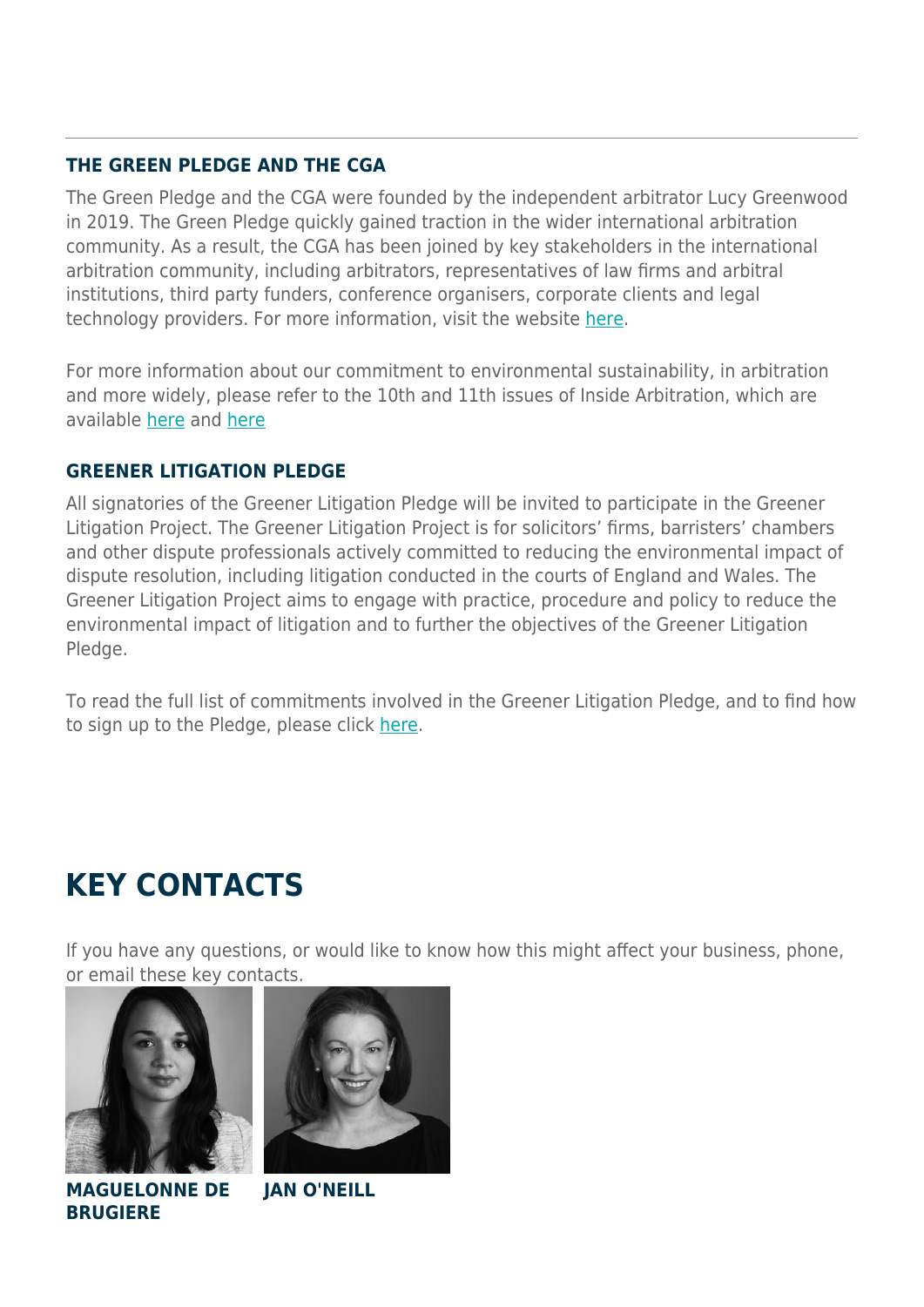### **THE GREEN PLEDGE AND THE CGA**

The Green Pledge and the CGA were founded by the independent arbitrator Lucy Greenwood in 2019. The Green Pledge quickly gained traction in the wider international arbitration community. As a result, the CGA has been joined by key stakeholders in the international arbitration community, including arbitrators, representatives of law firms and arbitral institutions, third party funders, conference organisers, corporate clients and legal technology providers. For more information, visit the website [here.](https://www.greenerarbitrations.com/)

For more information about our commitment to environmental sustainability, in arbitration and more widely, please refer to the 10th and 11th issues of Inside Arbitration, which are available [here](https://www.herbertsmithfreehills.com/latest-thinking/inside-arbitration-towards-greener-arbitrations-achieving-greater-environmental) and [here](https://www.herbertsmithfreehills.com/latest-thinking/inside-arbitration-towards-greener-arbitrations-achieving-greater-environmental-0)

### **GREENER LITIGATION PLEDGE**

All signatories of the Greener Litigation Pledge will be invited to participate in the Greener Litigation Project. The Greener Litigation Project is for solicitors' firms, barristers' chambers and other dispute professionals actively committed to reducing the environmental impact of dispute resolution, including litigation conducted in the courts of England and Wales. The Greener Litigation Project aims to engage with practice, procedure and policy to reduce the environmental impact of litigation and to further the objectives of the Greener Litigation Pledge.

To read the full list of commitments involved in the Greener Litigation Pledge, and to find how to sign up to the Pledge, please click [here](https://greenerlitigation.org/the-pledge/).

## **KEY CONTACTS**

If you have any questions, or would like to know how this might affect your business, phone, or email these key contacts.





**MAGUELONNE DE BRUGIERE**

**JAN O'NEILL**